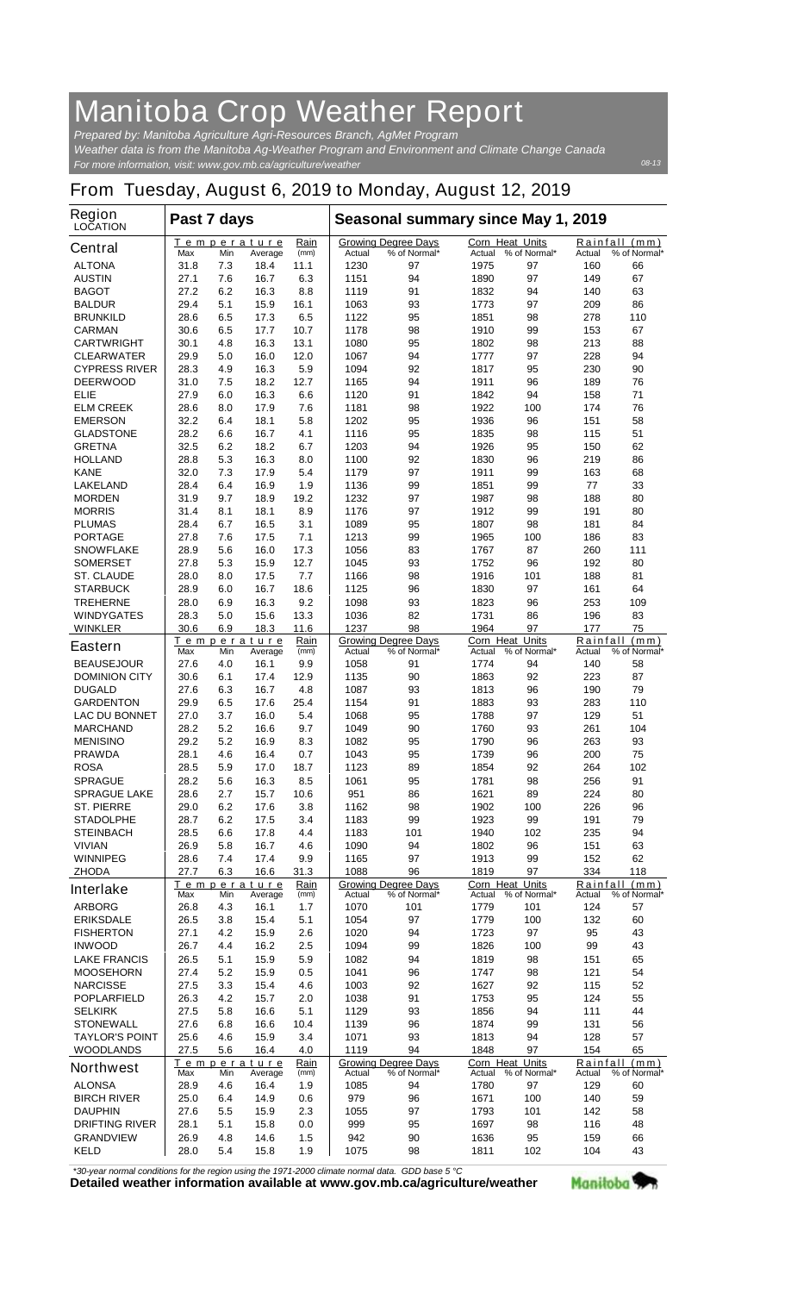## **Manitoba Crop Weather Report**

*For more information, visit: www.gov.mb.ca/agriculture/weather Prepared by: Manitoba Agriculture Agri-Resources Branch, AgMet Program Weather data is from the Manitoba Ag-Weather Program and Environment and Climate Change Canada*

## **From Tuesday, August 6, 2019 to Monday, August 12, 2019**

| Region<br><b>LOCATION</b> | Past 7 days                   |     |                        |                               | Seasonal summary since May 1, 2019 |                                            |                                  |              |                    |                               |
|---------------------------|-------------------------------|-----|------------------------|-------------------------------|------------------------------------|--------------------------------------------|----------------------------------|--------------|--------------------|-------------------------------|
| <b>Central</b>            | Τ<br>Max                      | Min | emperature<br>Average  | Rain<br>(mm)                  | Actual                             | <b>Growing Degree Days</b><br>% of Normal* | <b>Corn Heat Units</b><br>Actual | % of Normal* | Rainfall<br>Actual | (mm)<br>% of Normal*          |
| <b>ALTONA</b>             | 31.8                          | 7.3 | 18.4                   | 11.1                          | 1230                               | 97                                         | 1975                             | 97           | 160                | 66                            |
| <b>AUSTIN</b>             | 27.1                          | 7.6 | 16.7                   | 6.3                           | 1151                               | 94                                         | 1890                             | 97           | 149                | 67                            |
| <b>BAGOT</b>              | 27.2                          | 6.2 | 16.3                   | 8.8                           | 1119                               | 91                                         | 1832                             | 94           | 140                | 63                            |
| <b>BALDUR</b>             | 29.4                          | 5.1 | 15.9                   | 16.1                          | 1063                               | 93                                         | 1773                             | 97           | 209                | 86                            |
| <b>BRUNKILD</b>           | 28.6                          | 6.5 | 17.3                   | 6.5                           | 1122                               | 95                                         | 1851                             | 98           | 278                | 110                           |
| <b>CARMAN</b>             | 30.6                          | 6.5 | 17.7                   | 10.7                          | 1178                               | 98                                         | 1910                             | 99           | 153                | 67                            |
| <b>CARTWRIGHT</b>         | 30.1                          | 4.8 | 16.3                   | 13.1                          | 1080                               | 95                                         | 1802                             | 98           | 213                | 88                            |
| <b>CLEARWATER</b>         | 29.9                          | 5.0 | 16.0                   | 12.0                          | 1067                               | 94                                         | 1777                             | 97           | 228                | 94                            |
| <b>CYPRESS RIVER</b>      | 28.3                          | 4.9 | 16.3                   | 5.9                           | 1094                               | 92                                         | 1817                             | 95           | 230                | 90                            |
| <b>DEERWOOD</b>           | 31.0                          | 7.5 | 18.2                   | 12.7                          | 1165                               | 94                                         | 1911                             | 96           | 189                | 76                            |
| ELIE                      | 27.9                          | 6.0 | 16.3                   | 6.6                           | 1120                               | 91                                         | 1842                             | 94           | 158                | 71                            |
| <b>ELM CREEK</b>          | 28.6                          | 8.0 | 17.9                   | 7.6                           | 1181                               | 98                                         | 1922                             | 100          | 174                | 76                            |
| <b>EMERSON</b>            | 32.2                          | 6.4 | 18.1                   | 5.8                           | 1202                               | 95                                         | 1936                             | 96           | 151                | 58                            |
| <b>GLADSTONE</b>          | 28.2                          | 6.6 | 16.7                   | 4.1                           | 1116                               | 95                                         | 1835                             | 98           | 115                | 51                            |
| <b>GRETNA</b>             | 32.5                          | 6.2 | 18.2                   | 6.7                           | 1203                               | 94                                         | 1926                             | 95           | 150                | 62                            |
| <b>HOLLAND</b>            | 28.8                          | 5.3 | 16.3                   | 8.0                           | 1100                               | 92                                         | 1830                             | 96           | 219                | 86                            |
| <b>KANE</b>               | 32.0                          | 7.3 | 17.9                   | 5.4                           | 1179                               | 97                                         | 1911                             | 99           | 163                | 68                            |
| <b>LAKELAND</b>           | 28.4                          | 6.4 | 16.9                   | 1.9                           | 1136                               | 99                                         | 1851                             | 99           | 77                 | 33                            |
| <b>MORDEN</b>             | 31.9                          | 9.7 | 18.9                   | 19.2                          | 1232                               | 97                                         | 1987                             | 98           | 188                | 80                            |
| <b>MORRIS</b>             | 31.4                          | 8.1 | 18.1                   | 8.9                           | 1176                               | 97                                         | 1912                             | 99           | 191                | 80                            |
| <b>PLUMAS</b>             | 28.4                          | 6.7 | 16.5                   | 3.1                           | 1089                               | 95                                         | 1807                             | 98           | 181                | 84                            |
| <b>PORTAGE</b>            | 27.8                          | 7.6 | 17.5                   | 7.1                           | 1213                               | 99                                         | 1965                             | 100          | 186                | 83                            |
| <b>SNOWFLAKE</b>          | 28.9                          | 5.6 | 16.0                   | 17.3                          | 1056                               | 83                                         | 1767                             | 87           | 260                | 111                           |
| <b>SOMERSET</b>           | 27.8                          | 5.3 | 15.9                   | 12.7                          | 1045                               | 93                                         | 1752                             | 96           | 192                | 80                            |
| <b>ST. CLAUDE</b>         | 28.0                          | 8.0 | 17.5                   | 7.7                           | 1166                               | 98                                         | 1916                             | 101          | 188                | 81                            |
| <b>STARBUCK</b>           | 28.9                          | 6.0 | 16.7                   | 18.6                          | 1125                               | 96                                         | 1830                             | 97           | 161                | 64                            |
| <b>TREHERNE</b>           | 28.0                          | 6.9 | 16.3                   | 9.2                           | 1098                               | 93                                         | 1823                             | 96           | 253                | 109                           |
| <b>WINDYGATES</b>         | 28.3                          | 5.0 | 15.6                   | 13.3                          | 1036                               | 82                                         | 1731                             | 86           | 196                | 83<br>75                      |
| <b>WINKLER</b>            | 30.6                          | 6.9 | 18.3                   | 11.6                          | 1237                               | 98                                         | 1964                             | 97           | 177                |                               |
| <b>Eastern</b>            | Max                           | Min | Temperature<br>Average | Rain<br>(mm)                  | Actual                             | <b>Growing Degree Days</b><br>% of Normal* | <b>Corn Heat Units</b><br>Actual | % of Normal* | Actual             | Rainfall (mm)<br>% of Normal* |
| <b>BEAUSEJOUR</b>         | 27.6                          | 4.0 | 16.1                   | 9.9                           | 1058                               | 91                                         | 1774                             | 94           | 140                | 58                            |
| <b>DOMINION CITY</b>      | 30.6                          | 6.1 | 17.4                   | 12.9                          | 1135                               | 90                                         | 1863                             | 92           | 223                | 87                            |
| <b>DUGALD</b>             | 27.6                          | 6.3 | 16.7                   | 4.8                           | 1087                               | 93                                         | 1813                             | 96           | 190                | 79                            |
| <b>GARDENTON</b>          | 29.9                          | 6.5 | 17.6                   | 25.4                          | 1154                               | 91                                         | 1883                             | 93           | 283                | 110                           |
| <b>LAC DU BONNET</b>      | 27.0                          | 3.7 | 16.0                   | 5.4                           | 1068                               | 95                                         | 1788                             | 97           | 129                | 51                            |
| <b>MARCHAND</b>           | 28.2                          | 5.2 | 16.6                   | 9.7                           | 1049                               | 90                                         | 1760                             | 93           | 261                | 104                           |
| <b>MENISINO</b>           | 29.2                          | 5.2 | 16.9                   | 8.3                           | 1082                               | 95                                         | 1790                             | 96           | 263                | 93                            |
| <b>PRAWDA</b>             | 28.1                          | 4.6 | 16.4                   | 0.7                           | 1043                               | 95                                         | 1739                             | 96           | 200                | 75                            |
| <b>ROSA</b>               | 28.5                          | 5.9 | 17.0                   | 18.7                          | 1123                               | 89                                         | 1854                             | 92           | 264                | 102                           |
| <b>SPRAGUE</b>            | 28.2                          | 5.6 | 16.3                   | 8.5                           | 1061                               | 95                                         | 1781                             | 98           | 256                | 91                            |
| <b>SPRAGUE LAKE</b>       | 28.6                          | 2.7 | 15.7                   | 10.6                          | 951                                | 86                                         | 1621                             | 89           | 224                | 80                            |
| <b>ST. PIERRE</b>         | 29.0                          | 6.2 | 17.6                   | 3.8                           | 1162                               | 98                                         | 1902                             | 100          | 226                | 96                            |
| <b>STADOLPHE</b>          | 28.7                          | 6.2 | 17.5                   | 3.4                           | 1183                               | 99                                         | 1923                             | 99           | 191                | 79                            |
| <b>STEINBACH</b>          | 28.5                          | 6.6 | 17.8                   | 4.4                           | 1183                               | 101                                        | 1940                             | 102          | 235                | 94                            |
| <b>VIVIAN</b>             | 26.9                          | 5.8 | 16.7                   | 4.6                           | 1090                               | 94                                         | 1802                             | 96           | 151                | 63                            |
| <b>WINNIPEG</b>           | 28.6                          | 7.4 | 17.4                   | 9.9                           | 1165                               | 97                                         | 1913                             | 99           | 152                | 62                            |
| <b>ZHODA</b>              | 27.7                          | 6.3 | 16.6                   | 31.3                          | 1088                               | 96                                         | 1819                             | 97           | 334                | 118                           |
|                           |                               |     | Temperature            | Rain                          |                                    | <b>Growing Degree Days</b>                 | Corn Heat Units                  |              |                    | Rainfall (mm)                 |
| <b>Interlake</b>          | (mm)<br>Max<br>Min<br>Average |     |                        | <b>Actual</b><br>% of Normal* |                                    | Actual % of Normal*                        |                                  | Actual       | % of Normal*       |                               |
| <b>ARBORG</b>             | 26.8                          | 4.3 | 16.1                   | 1.7                           | 1070                               | 101                                        | 1779                             | 101          | 124                | 57                            |
| <b>ERIKSDALE</b>          | 26.5                          | 3.8 | 15.4                   | 5.1                           | 1054                               | 97                                         | 1779                             | 100          | 132                | 60                            |
| <b>FISHERTON</b>          | 27.1                          | 4.2 | 15.9                   | 2.6                           | 1020                               | 94                                         | 1723                             | 97           | 95                 | 43                            |
| <b>INWOOD</b>             | 26.7                          | 4.4 | 16.2                   | 2.5                           | 1094                               | 99                                         | 1826                             | 100          | 99                 | 43                            |
| <b>LAKE FRANCIS</b>       | 26.5                          | 5.1 | 15.9                   | 5.9                           | 1082                               | 94                                         | 1819                             | 98           | 151                | 65                            |
| <b>MOOSEHORN</b>          | 27.4                          | 5.2 | 15.9                   | 0.5                           | 1041                               | 96                                         | 1747                             | 98           | 121                | 54                            |
| <b>NARCISSE</b>           | 27.5                          | 3.3 | 15.4                   | 4.6                           | 1003                               | 92                                         | 1627                             | 92           | 115                | 52                            |
| <b>POPLARFIELD</b>        | 26.3                          | 4.2 | 15.7                   | 2.0                           | 1038                               | 91                                         | 1753                             | 95           | 124                | 55                            |
| <b>SELKIRK</b>            | 27.5                          | 5.8 | 16.6                   | 5.1                           | 1129                               | 93                                         | 1856                             | 94           | 111                | 44                            |
| <b>STONEWALL</b>          | 27.6                          | 6.8 | 16.6                   | 10.4                          | 1139                               | 96                                         | 1874                             | 99           | 131                | 56                            |
| <b>TAYLOR'S POINT</b>     | 25.6                          | 4.6 | 15.9                   | 3.4                           | 1071                               | 93                                         | 1813                             | 94           | 128                | 57                            |
| <b>WOODLANDS</b>          | 27.5                          | 5.6 | 16.4                   | 4.0                           | 1119                               | 94                                         | 1848                             | 97           | 154                | 65                            |
| <b>Northwest</b>          |                               |     | <u>Temperature</u>     | <u>Rain</u>                   |                                    | <b>Growing Degree Days</b>                 | Corn Heat Units                  |              | Rainfall           | (mm)                          |
|                           | Max                           | Min | Average                | (mm)                          | Actual                             | % of Normal*                               | Actual                           | % of Normal* | Actual             | % of Normal*                  |
| <b>ALONSA</b>             | 28.9                          | 4.6 | 16.4                   | 1.9                           | 1085                               | 94                                         | 1780                             | 97           | 129                | 60                            |
| <b>BIRCH RIVER</b>        | 25.0                          | 6.4 | 14.9                   | 0.6                           | 979                                | 96                                         | 1671                             | 100          | 140                | 59                            |
| <b>DAUPHIN</b>            | 27.6                          | 5.5 | 15.9                   | 2.3                           | 1055                               | 97                                         | 1793                             | 101          | 142                | 58                            |
| <b>DRIFTING RIVER</b>     | 28.1                          | 5.1 | 15.8                   | 0.0                           | 999                                | 95                                         | 1697                             | 98           | 116                | 48                            |
| <b>GRANDVIEW</b>          | 26.9                          | 4.8 | 14.6                   | 1.5                           | 942                                | 90                                         | 1636                             | 95           | 159                | 66                            |
| <b>KELD</b>               | 28.0                          | 5.4 | 15.8                   | 1.9                           | 1075                               | 98                                         | 1811                             | 102          | 104                | 43                            |

*\*30-year normal conditions for the region using the 1971-2000 climate normal data. GDD base 5 °C*<br>Detailed weather information available at www.gov.mb.ca/agriculture/weather

Manitoba<sup>9</sup>